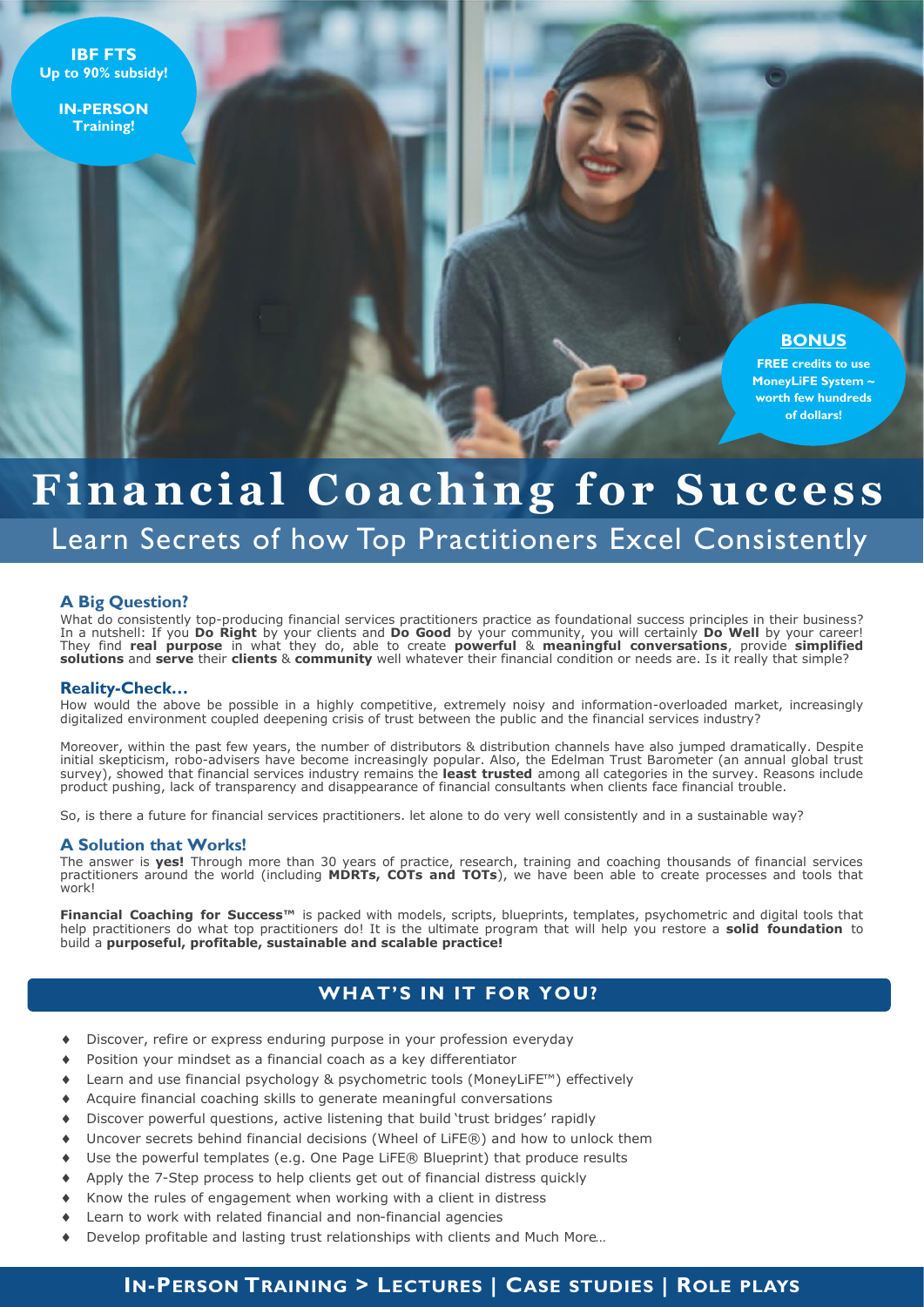**IBF FTS Up to 90% subsidy!**

> **IN-PERSON Training!**

# **BONUS**

**FREE credits to use MoneyLiFE System ~ worth few hundreds of dollars!**

# Financial Coaching for Success

# Learn Secrets of how Top Practitioners Excel Consistently

#### **A Big Question?**

What do consistently top-producing financial services practitioners practice as foundational success principles in their business? In a nutshell: If you **Do Right** by your clients and **Do Good** by your community, you will certainly **Do Well** by your career! They find **real purpose** in what they do, able to create **powerful** & **meaningful conversations**, provide **simplified solutions** and **serve** their **clients** & **community** well whatever their financial condition or needs are. Is it really that simple?

#### **Reality-Check…**

How would the above be possible in a highly competitive, extremely noisy and information-overloaded market, increasingly digitalized environment coupled deepening crisis of trust between the public and the financial services industry?

Moreover, within the past few years, the number of distributors & distribution channels have also jumped dramatically. Despite initial skepticism, robo-advisers have become increasingly popular. Also, the Edelman Trust Barometer (an annual global trust survey), showed that financial services industry remains the **least trusted** among all categories in the survey. Reasons include product pushing, lack of transparency and disappearance of financial consultants when clients face financial trouble.

So, is there a future for financial services practitioners. let alone to do very well consistently and in a sustainable way?

#### **A Solution that Works!**

The answer is **yes!** Through more than 30 years of practice, research, training and coaching thousands of financial services practitioners around the world (including MDRTs, COTs and TOTs), we have been able to create processes and tools that work!

**Financial Coaching for Success™** is packed with models, scripts, blueprints, templates, psychometric and digital tools that help practitioners do what top practitioners do! It is the ultimate program that will help you restore a **solid foundation** to build a **purposeful, profitable, sustainable and scalable practice!**

# **WHAT'S IN IT FOR YOU?**

- Discover, refire or express enduring purpose in your profession everyday
- Position your mindset as a financial coach as a key differentiator
- Learn and use financial psychology & psychometric tools (MoneyLiFE™) effectively
- Acquire financial coaching skills to generate meaningful conversations
- Discover powerful questions, active listening that build 'trust bridges' rapidly
- Uncover secrets behind financial decisions (Wheel of LiFE®) and how to unlock them
- Use the powerful templates (e.g. One Page LiFE® Blueprint) that produce results
- Apply the 7-Step process to help clients get out of financial distress quickly
- Know the rules of engagement when working with a client in distress
- Learn to work with related financial and non-financial agencies
- Develop profitable and lasting trust relationships with clients and Much More…

# **IN-PERSON TRAINING > LECTURES | CASE STUDIES | ROLE PLAYS**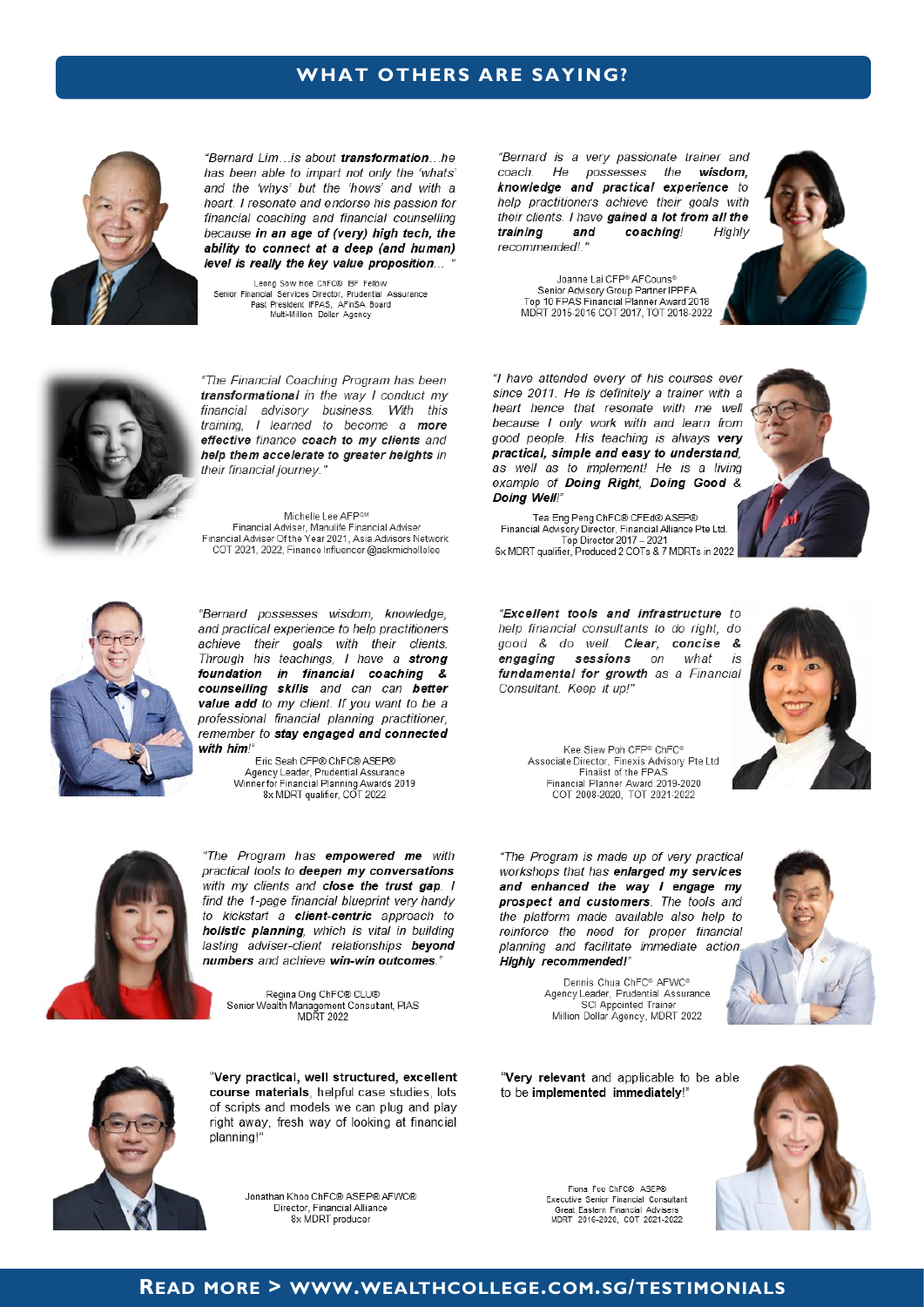# **WHAT OTHERS ARE SAYING?**



"Bernard Lim...is about transformation...he has been able to impart not only the 'whats' and the 'whys' but the 'hows' and with a heart. I resonate and endorse his passion for financial coaching and financial counselling because in an age of (very) high tech, the ability to connect at a deep (and human) level is really the key value proposition...

Leong Sow Hoe ChFC® IBF Fellow Senior Financial Services Director, Prudential Assurance<br>Past President IFPAS, AFinSA Board<br>Multi-Million Dollar Agency "Bernard is a very passionate trainer and coach. He possesses the wisdom. knowledge and practical experience to help practitioners achieve their goals with their clients. I have gained a lot from all the training and coaching! Highly recommended!."



Joanne Lai CFP® AFCouns® Senior Advisory Group Partner IPPFA<br>Top 10 FPAS Financial Planner Award 2018 MDRT 2015-2016 COT 2017, TOT 2018-2022



"The Financial Coaching Program has been transformational in the way I conduct my financial advisory business. With this training, I learned to become a more effective finance coach to my clients and help them accelerate to greater heights in their financial journey."

Michelle Lee AFPCM 

"Bernard possesses wisdom, knowledge, and practical experience to help practitioners achieve their goals with their clients. Through his teachings, I have a strong foundation in financial coaching & counselling skills and can can better value add to my client. If you want to be a professional financial planning practitioner, remember to stay engaged and connected with him!"

Fric Seah CFP® ChFC® ASFP® Agency Leader, Prudential Assurance Winner for Financial Planning Awards 2019<br>8x MDRT qualifier. COT 2022



"The Program has empowered me with practical tools to deepen my conversations with my clients and close the trust gap. I find the 1-page financial blueprint very handy to kickstart a client-centric approach to holistic planning, which is vital in building lasting adviser-client relationships beyond numbers and achieve win-win outcomes

Regina Ong ChFC® CLU® Senior Wealth Management Consultant, PIAS



"Very practical, well structured, excellent course materials, helpful case studies, lots of scripts and models we can plug and play right away, fresh way of looking at financial planning!"

> Jonathan Khoo ChFC® ASEP® AFWC® Director, Financial Alliance 8x MDRT producer

"I have attended every of his courses ever since 2011. He is definitely a trainer with a heart hence that resonate with me well because I only work with and learn from good people. His teaching is always very practical, simple and easy to understand, as well as to implement! He is a living example of Doing Right, Doing Good & Doing Well!"



Tea Eng Peng ChFC® CFEd® ASEP® Financial Advisory Director, Financial Alliance Pte Ltd.<br>Top Director 2017 – 2021<br>6x MDRT qualifier, Produced 2 COTs & 7 MDRTs in 2022

"Excellent tools and infrastructure to help financial consultants to do right, do good & do well. Clear, concise & engaging sessions on what  $i$ s fundamental for growth as a Financial Consultant. Keep it up!"



Kee Siew Poh CFP® ChFC® Associate Director, Finexis Advisory Pte Ltd<br>Finalist of the FPAS Financial Planner Award 2019-2020<br>COT 2008-2020, TOT 2021-2022

"The Program is made up of very practical workshops that has enlarged my services and enhanced the way I engage my prospect and customers. The tools and the platform made available also help to reinforce the need for proper financial planning and facilitate immediate action Highly recommended!"

Agency Leader, Prudential Assurance SCI Appointed Trainer Million Dollar Agency, MDRT 2022

Dennis Chua ChFC® AFWC®

"Very relevant and applicable to be able to be implemented immediately!"

Fiona Foo ChFC® ASEP®

Executive Senior Financial Consultant

Great Eastern Financial Advisers<br>MDRT 2016-2020, COT 2021-2022



#### **READ MORE > WWW.WEALTHCOLLEGE.COM.SG/TESTIMONIALS**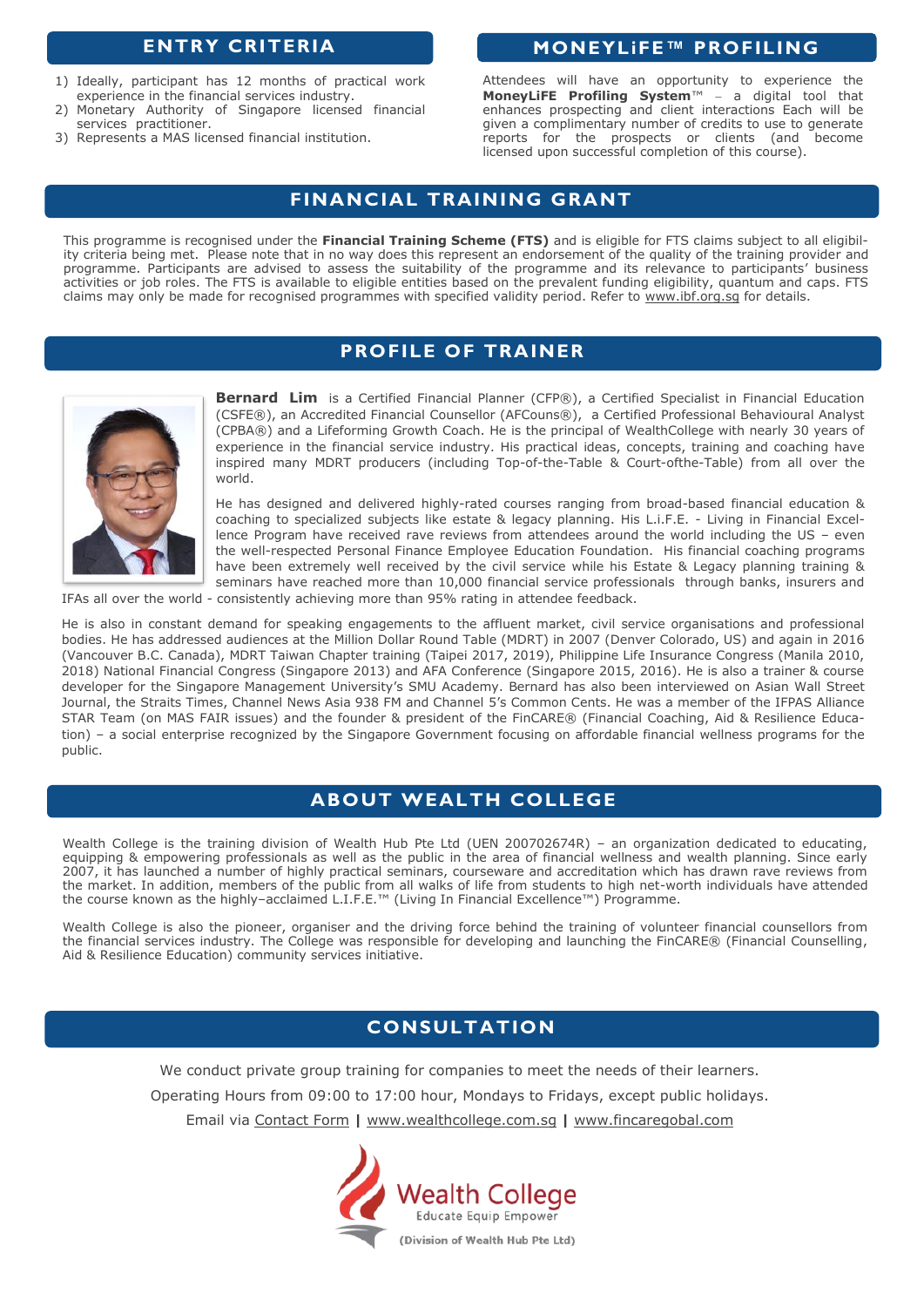- 1) Ideally, participant has 12 months of practical work experience in the financial services industry.
- 2) Monetary Authority of Singapore licensed financial services practitioner.
- 3) Represents a MAS licensed financial institution.

# **ENTRY CRITERIA MONEYLIFE™ PROFILING**

Attendees will have an opportunity to experience the **MoneyLiFE Profiling System**™ − a digital tool that enhances prospecting and client interactions Each will be given a complimentary number of credits to use to generate reports for the prospects or clients (and become licensed upon successful completion of this course).

# **FINANCIAL TRAINING GRANT**

This programme is recognised under the **Financial Training Scheme (FTS)** and is eligible for FTS claims subject to all eligibility criteria being met. Please note that in no way does this represent an endorsement of the quality of the training provider and programme. Participants are advised to assess the suitability of the programme and its relevance to participants' business activities or job roles. The FTS is available to eligible entities based on the prevalent funding eligibility, quantum and caps. FTS claims may only be made for recognised programmes with specified validity period. Refer to [www.ibf.org.sg](http://www.ibf.org.sg) for details.

# **PROFILE OF TRAINER**



**Bernard Lim** is a Certified Financial Planner (CFP®), a Certified Specialist in Financial Education (CSFE®), an Accredited Financial Counsellor (AFCouns®), a Certified Professional Behavioural Analyst (CPBA®) and a Lifeforming Growth Coach. He is the principal of WealthCollege with nearly 30 years of experience in the financial service industry. His practical ideas, concepts, training and coaching have inspired many MDRT producers (including Top-of-the-Table & Court-ofthe-Table) from all over the world.

He has designed and delivered highly-rated courses ranging from broad-based financial education & coaching to specialized subjects like estate & legacy planning. His L.i.F.E. - Living in Financial Excellence Program have received rave reviews from attendees around the world including the US – even the well-respected Personal Finance Employee Education Foundation. His financial coaching programs have been extremely well received by the civil service while his Estate & Legacy planning training & seminars have reached more than 10,000 financial service professionals through banks, insurers and IFAs all over the world - consistently achieving more than 95% rating in attendee feedback.

He is also in constant demand for speaking engagements to the affluent market, civil service organisations and professional bodies. He has addressed audiences at the Million Dollar Round Table (MDRT) in 2007 (Denver Colorado, US) and again in 2016 (Vancouver B.C. Canada), MDRT Taiwan Chapter training (Taipei 2017, 2019), Philippine Life Insurance Congress (Manila 2010, 2018) National Financial Congress (Singapore 2013) and AFA Conference (Singapore 2015, 2016). He is also a trainer & course developer for the Singapore Management University's SMU Academy. Bernard has also been interviewed on Asian Wall Street Journal, the Straits Times, Channel News Asia 938 FM and Channel 5's Common Cents. He was a member of the IFPAS Alliance STAR Team (on MAS FAIR issues) and the founder & president of the FinCARE® (Financial Coaching, Aid & Resilience Education) – a social enterprise recognized by the Singapore Government focusing on affordable financial wellness programs for the public.

# **ABOUT WEALTH COLLEGE**

Wealth College is the training division of Wealth Hub Pte Ltd (UEN 200702674R) – an organization dedicated to educating, equipping & empowering professionals as well as the public in the area of financial wellness and wealth planning. Since early 2007, it has launched a number of highly practical seminars, courseware and accreditation which has drawn rave reviews from the market. In addition, members of the public from all walks of life from students to high net-worth individuals have attended the course known as the highly–acclaimed L.I.F.E.™ (Living In Financial Excellence™) Programme.

Wealth College is also the pioneer, organiser and the driving force behind the training of volunteer financial counsellors from the financial services industry. The College was responsible for developing and launching the FinCARE® (Financial Counselling, Aid & Resilience Education) community services initiative.

# **CONSULTATION**

We conduct private group training for companies to meet the needs of their learners.

Operating Hours from 09:00 to 17:00 hour, Mondays to Fridays, except public holidays.

Email via [Contact Form](http://www.wealthcollege.com.sg/contact) **|** [www.wealthcollege.com.sg](http://www.wealthcollege.com.sg) **|** [www.fincaregobal.com](http://www.fincareglobal.com)